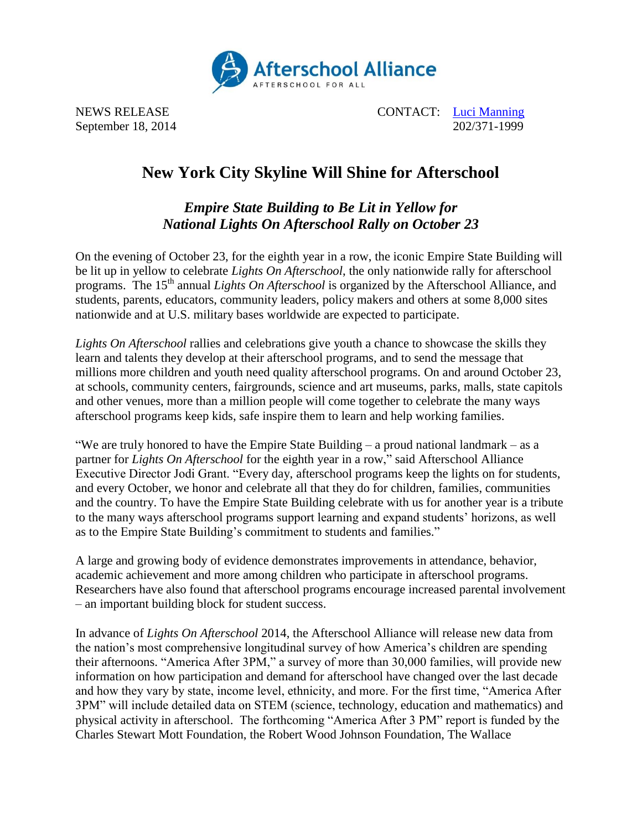

NEWS RELEASE CONTACT: [Luci Manning](mailto:luci@prsolutionsdc.com) September 18, 2014 202/371-1999

## **New York City Skyline Will Shine for Afterschool**

## *Empire State Building to Be Lit in Yellow for National Lights On Afterschool Rally on October 23*

On the evening of October 23, for the eighth year in a row, the iconic Empire State Building will be lit up in yellow to celebrate *Lights On Afterschool*, the only nationwide rally for afterschool programs. The 15<sup>th</sup> annual *Lights On Afterschool* is organized by the Afterschool Alliance, and students, parents, educators, community leaders, policy makers and others at some 8,000 sites nationwide and at U.S. military bases worldwide are expected to participate.

*Lights On Afterschool* rallies and celebrations give youth a chance to showcase the skills they learn and talents they develop at their afterschool programs, and to send the message that millions more children and youth need quality afterschool programs. On and around October 23, at schools, community centers, fairgrounds, science and art museums, parks, malls, state capitols and other venues, more than a million people will come together to celebrate the many ways afterschool programs keep kids, safe inspire them to learn and help working families.

"We are truly honored to have the Empire State Building – a proud national landmark – as a partner for *Lights On Afterschool* for the eighth year in a row," said Afterschool Alliance Executive Director Jodi Grant. "Every day, afterschool programs keep the lights on for students, and every October, we honor and celebrate all that they do for children, families, communities and the country. To have the Empire State Building celebrate with us for another year is a tribute to the many ways afterschool programs support learning and expand students' horizons, as well as to the Empire State Building's commitment to students and families."

A large and growing body of evidence demonstrates improvements in attendance, behavior, academic achievement and more among children who participate in afterschool programs. Researchers have also found that afterschool programs encourage increased parental involvement – an important building block for student success.

In advance of *Lights On Afterschool* 2014, the Afterschool Alliance will release new data from the nation's most comprehensive longitudinal survey of how America's children are spending their afternoons. "America After 3PM," a survey of more than 30,000 families, will provide new information on how participation and demand for afterschool have changed over the last decade and how they vary by state, income level, ethnicity, and more. For the first time, "America After 3PM" will include detailed data on STEM (science, technology, education and mathematics) and physical activity in afterschool. The forthcoming "America After 3 PM" report is funded by the Charles Stewart Mott Foundation, the Robert Wood Johnson Foundation, The Wallace